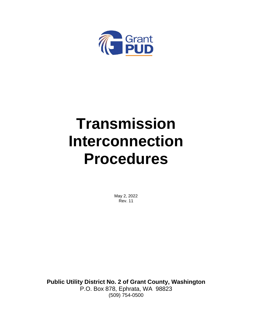

# **Transmission Interconnection Procedures**

May 2, 2022 Rev. 11

**Public Utility District No. 2 of Grant County, Washington** P.O. Box 878, Ephrata, WA 98823 (509) 754-0500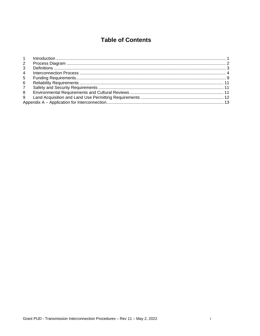# **Table of Contents**

| 2              |  |
|----------------|--|
| $\mathcal{S}$  |  |
| $\overline{4}$ |  |
| 5              |  |
| 6              |  |
| $7\phantom{0}$ |  |
| 8              |  |
| 9              |  |
|                |  |
|                |  |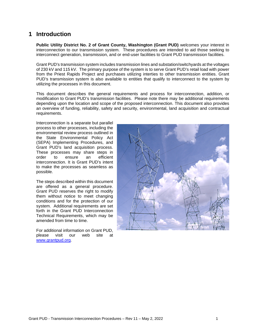## <span id="page-2-0"></span>**1 Introduction**

**Public Utility District No. 2 of Grant County, Washington (Grant PUD)** welcomes your interest in interconnection to our transmission system. These procedures are intended to aid those seeking to interconnect generation, transmission, and or end-user facilities to Grant PUD transmission facilities.

Grant PUD's transmission system includes transmission lines and substation/switchyards at the voltages of 230 kV and 115 kV. The primary purpose of the system is to serve Grant PUD's retail load with power from the Priest Rapids Project and purchases utilizing interties to other transmission entities. Grant PUD's transmission system is also available to entities that qualify to interconnect to the system by utilizing the processes in this document.

This document describes the general requirements and process for interconnection, addition, or modification to Grant PUD's transmission facilities. Please note there may be additional requirements depending upon the location and scope of the proposed interconnection. This document also provides an overview of funding, reliability, safety and security, environmental, land acquisition and contractual requirements.

Interconnection is a separate but parallel process to other processes, including the environmental review process outlined in the State Environmental Policy Act (SEPA) Implementing Procedures, and Grant PUD's land acquisition process. These processes may share steps in order to ensure an efficient interconnection. It is Grant PUD's intent to make the processes as seamless as possible.

The steps described within this document are offered as a general procedure. Grant PUD reserves the right to modify them without notice to meet changing conditions and for the protection of our system. Additional requirements are set forth in the Grant PUD Interconnection Technical Requirements, which may be amended from time to time.

For additional information on Grant PUD, please visit our web site at [www.grantpud.org.](http://www.grantpud.org/)

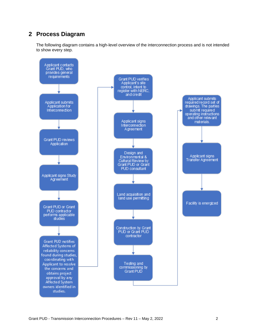## <span id="page-3-0"></span>**2 Process Diagram**

The following diagram contains a high-level overview of the interconnection process and is not intended to show every step.

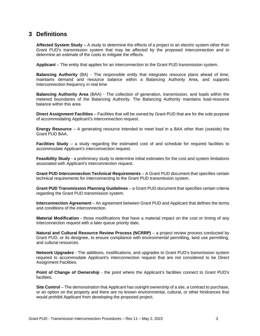## <span id="page-4-0"></span>**3 Definitions**

**Affected System Study –** A study to determine the effects of a project to an electric system other than Grant PUD's transmission system that may be affected by the proposed interconnection and to determine an estimate of the costs to mitigate the effects.

**Applicant** – The entity that applies for an interconnection to the Grant PUD transmission system.

**Balancing Authority** (BA) - The responsible entity that integrates resource plans ahead of time, maintains demand and resource balance within a Balancing Authority Area, and supports Interconnection frequency in real time

**Balancing Authority Area** (BAA) - The collection of generation, transmission, and loads within the metered boundaries of the Balancing Authority. The Balancing Authority maintains load-resource balance within this area

**Direct Assignment Facilities** – Facilities that will be owned by Grant PUD that are for the sole purpose of accommodating Applicant's interconnection request.

**Energy Resource** – A generating resource intended to meet load in a BAA other than (outside) the Grant PUD BAA.

**Facilities Study** – a study regarding the estimated cost of and schedule for required facilities to accommodate Applicant's interconnection request.

**Feasibility Study** - a preliminary study to determine initial estimates for the cost and system limitations associated with Applicant's interconnection request.

**Grant PUD Interconnection Technical Requirements** – A Grant PUD document that specifies certain technical requirements for interconnecting to the Grant PUD transmission system.

**Grant PUD Transmission Planning Guidelines** – a Grant PUD document that specifies certain criteria regarding the Grant PUD transmission system.

**Interconnection Agreement** – An agreement between Grant PUD and Applicant that defines the terms and conditions of the interconnection.

**Material Modification -** those modifications that have a material impact on the cost or timing of any interconnection request with a later queue priority date.

**Natural and Cultural Resource Review Process (NCRRP)** – a project review process conducted by Grant PUD, or its designee, to ensure compliance with environmental permitting, land use permitting, and cultural resources.

**Network Upgrades** - The additions, modifications, and upgrades to Grant PUD's transmission system required to accommodate Applicant's interconnection request that are not considered to be Direct Assignment Facilities.

**Point of Change of Ownership** - the point where the Applicant's facilities connect to Grant PUD's facilities.

**Site Control** – The demonstration that Applicant has outright ownership of a site, a contract to purchase, or an option on the property and there are no known environmental, cultural, or other hindrances that would prohibit Applicant from developing the proposed project.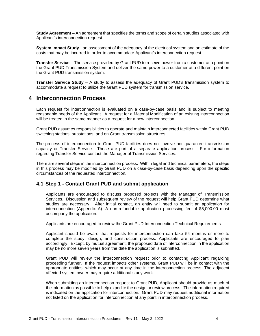**Study Agreement** – An agreement that specifies the terms and scope of certain studies associated with Applicant's interconnection request.

**System Impact Study** - an assessment of the adequacy of the electrical system and an estimate of the costs that may be incurred in order to accommodate Applicant's interconnection request.

**Transfer Service** – The service provided by Grant PUD to receive power from a customer at a point on the Grant PUD Transmission System and deliver the same power to a customer at a different point on the Grant PUD transmission system.

**Transfer Service Study** – A study to assess the adequacy of Grant PUD's transmission system to accommodate a request to utilize the Grant PUD system for transmission service.

## <span id="page-5-0"></span>**4 Interconnection Process**

Each request for interconnection is evaluated on a case-by-case basis and is subject to meeting reasonable needs of the Applicant. A request for a Material Modification of an existing interconnection will be treated in the same manner as a request for a new interconnection.

Grant PUD assumes responsibilities to operate and maintain interconnected facilities within Grant PUD switching stations, substations, and on Grant transmission structures.

The process of interconnection to Grant PUD facilities does not involve nor guarantee transmission capacity or Transfer Service. These are part of a separate application process. For information regarding Transfer Service contact the Manager of Transmission Services.

There are several steps in the interconnection process. Within legal and technical parameters, the steps in this process may be modified by Grant PUD on a case-by-case basis depending upon the specific circumstances of the requested interconnection.

#### **4.1 Step 1 - Contact Grant PUD and submit application**

Applicants are encouraged to discuss proposed projects with the Manager of Transmission Services. Discussion and subsequent review of the request will help Grant PUD determine what studies are necessary. After initial contact, an entity will need to submit an application for interconnection (Appendix A). A non-refundable application processing fee of \$5,000.00 must accompany the application.

Applicants are encouraged to review the Grant PUD Interconnection Technical Requirements.

Applicant should be aware that requests for interconnection can take 54 months or more to complete the study, design, and construction process. Applicants are encouraged to plan accordingly. Except, by mutual agreement, the proposed date of interconnection in the application may be no more seven years from the date the application is submitted.

Grant PUD will review the interconnection request prior to contacting Applicant regarding proceeding further. If the request impacts other systems, Grant PUD will be in contact with the appropriate entities, which may occur at any time in the interconnection process. The adjacent affected system owner may require additional study work.

When submitting an interconnection request to Grant PUD, Applicant should provide as much of the information as possible to help expedite the design or review process. The information required is indicated on the application for interconnection. Grant PUD may request additional information not listed on the application for interconnection at any point in interconnection process.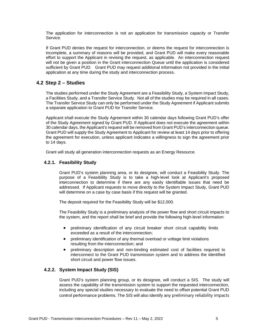The application for interconnection is not an application for transmission capacity or Transfer Service.

If Grant PUD denies the request for interconnection, or deems the request for interconnection is incomplete, a summary of reasons will be provided, and Grant PUD will make every reasonable effort to support the Applicant in revising the request, as applicable. An interconnection request will not be given a position in the Grant interconnection Queue until the application is considered sufficient by Grant PUD. Grant PUD may request additional information not provided in the initial application at any time during the study and interconnection process.

## **4.2 Step 2 – Studies**

The studies performed under the Study Agreement are a Feasibility Study, a System Impact Study, a Facilities Study, and a Transfer Service Study. Not all of the studies may be required in all cases. The Transfer Service Study can only be performed under the Study Agreement if Applicant submits a separate application to Grant PUD for Transfer Service.

Applicant shall execute the Study Agreement within 30 calendar days following Grant PUD's offer of the Study Agreement signed by Grant PUD. If Applicant does not execute the agreement within 30 calendar days, the Applicant's request will be removed from Grant PUD's interconnection queue. Grant PUD will supply the Study Agreement to Applicant for review at least 14 days prior to offering the agreement for execution, unless applicant indicates a willingness to sign the agreement prior to 14 days.

Grant will study all generation interconnection requests as an Energy Resource.

#### **4.2.1. Feasibility Study**

Grant PUD's system planning area, or its designee, will conduct a Feasibility Study. The purpose of a Feasibility Study is to take a high-level look at Applicant's proposed interconnection to determine if there are any easily identifiable issues that need be addressed. If Applicant requests to move directly to the System Impact Study, Grant PUD will determine on a case by case basis if this request will be granted.

The deposit required for the Feasibility Study will be \$12,000.

The Feasibility Study is a preliminary analysis of the power flow and short circuit impacts to the system, and the report shall be brief and provide the following high-level information:

- preliminary identification of any circuit breaker short circuit capability limits exceeded as a result of the interconnection;
- preliminary identification of any thermal overload or voltage limit violations resulting from the interconnection; and
- preliminary description and non-binding estimated cost of facilities required to interconnect to the Grant PUD transmission system and to address the identified short circuit and power flow issues.

#### **4.2.2. System Impact Study (SIS)**

Grant PUD's system planning group, or its designee, will conduct a SIS. The study will assess the capability of the transmission system to support the requested interconnection, including any special studies necessary to evaluate the need to offset potential Grant PUD control performance problems. The SIS will also identify any preliminary reliability impacts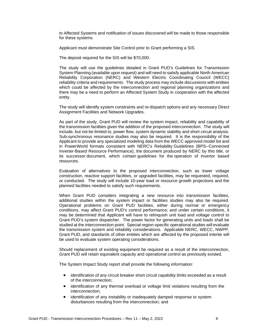to Affected Systems and notification of issues discovered will be made to those responsible for these systems.

Applicant must demonstrate Site Control prior to Grant performing a SIS.

The deposit required for the SIS will be \$70,000.

The study will use the guidelines detailed in Grant PUD's Guidelines for Transmission System Planning (available upon request) and will need to satisfy applicable North American Reliability Corporation (NERC) and Western Electric Coordinating Council (WECC) reliability criteria and requirements. The study process may include discussions with entities which could be affected by the interconnection and regional planning organizations and there may be a need to perform an Affected System Study in cooperation with the affected entity.

The study will identify system constraints and re-dispatch options and any necessary Direct Assignment Facilities and Network Upgrades.

As part of the study, Grant PUD will review the system impact, reliability and capability of the transmission facilities given the addition of the proposed interconnection. The study will include, but not be limited to, power flow, system dynamic stability and short circuit analysis. Sub-synchronous resonance studies may also be required. It is the responsibility of the Applicant to provide any specialized modeling data from the WECC approved model list and in PowerWorld formats consistent with NERC's Reliability Guidelines (BPS--Connected Inverter-Based Resource Performance), the document produced by NERC by this title, or its successor document, which contain guidelines for the operation of invertor based resources.

Evaluation of alternatives to the proposed interconnection, such as lower voltage construction, reactive support facilities, or upgraded facilities, may be requested, required, or conducted. The study will include 10-year load or resource growth projections and the planned facilities needed to satisfy such requirements.

When Grant PUD considers integrating a new resource into transmission facilities, additional studies within the system impact or facilities studies may also be required. Operational problems on Grant PUD facilities, either during normal or emergency conditions, may affect Grant PUD's control performance; and under certain conditions, it may be determined that Applicant will have to relinquish unit load and voltage control to Grant PUD's system dispatcher. The power factor for generating units and loads shall be studied at the interconnection point. Special region-specific operational studies will evaluate the transmission system and reliability considerations. Applicable NERC, WECC, NWPP, Grant PUD, and standards of other entities which are affected by the proposed intertie will be used to evaluate system operating considerations.

Should replacement of existing equipment be required as a result of the interconnection, Grant PUD will retain equivalent capacity and operational control as previously existed.

The System Impact Study report shall provide the following information:

- identification of any circuit breaker short circuit capability limits exceeded as a result of the interconnection;
- identification of any thermal overload or voltage limit violations resulting from the interconnection;
- identification of any instability or inadequately damped response to system disturbances resulting from the interconnection; and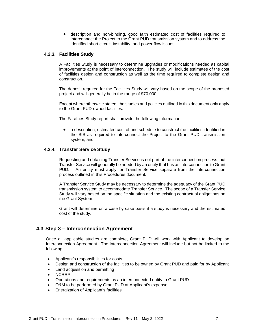• description and non-binding, good faith estimated cost of facilities required to interconnect the Project to the Grant PUD transmission system and to address the identified short circuit, instability, and power flow issues.

#### **4.2.3. Facilities Study**

A Facilities Study is necessary to determine upgrades or modifications needed as capital improvements at the point of interconnection. The study will include estimates of the cost of facilities design and construction as well as the time required to complete design and construction.

The deposit required for the Facilities Study will vary based on the scope of the proposed project and will generally be in the range of \$70,000.

Except where otherwise stated, the studies and policies outlined in this document only apply to the Grant PUD-owned facilities.

The Facilities Study report shall provide the following information:

• a description, estimated cost of and schedule to construct the facilities identified in the SIS as required to interconnect the Project to the Grant PUD transmission system; and

#### **4.2.4. Transfer Service Study**

Requesting and obtaining Transfer Service is not part of the interconnection process, but Transfer Service will generally be needed by an entity that has an interconnection to Grant PUD. An entity must apply for Transfer Service separate from the interconnection process outlined in this Procedures document.

A Transfer Service Study may be necessary to determine the adequacy of the Grant PUD transmission system to accommodate Transfer Service. The scope of a Transfer Service Study will vary based on the specific situation and the existing contractual obligations on the Grant System.

Grant will determine on a case by case basis if a study is necessary and the estimated cost of the study.

#### **4.3 Step 3 – Interconnection Agreement**

Once all applicable studies are complete, Grant PUD will work with Applicant to develop an Interconnection Agreement. The Interconnection Agreement will include but not be limited to the following:

- Applicant's responsibilities for costs
- Design and construction of the facilities to be owned by Grant PUD and paid for by Applicant
- Land acquisition and permitting
- NCRRP
- Operations and requirements as an interconnected entity to Grant PUD
- O&M to be performed by Grant PUD at Applicant's expense
- Energization of Applicant's facilities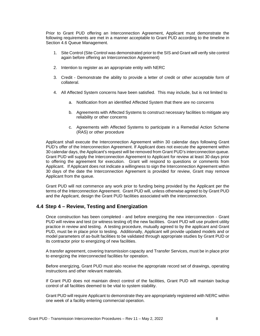Prior to Grant PUD offering an Interconnection Agreement, Applicant must demonstrate the following requirements are met in a manner acceptable to Grant PUD according to the timeline in Section 4.6 Queue Management.

- 1. Site Control (Site Control was demonstrated prior to the SIS and Grant will verify site control again before offering an Interconnection Agreement)
- 2. Intention to register as an appropriate entity with NERC
- 3. Credit Demonstrate the ability to provide a letter of credit or other acceptable form of collateral.
- 4. All Affected System concerns have been satisfied. This may include, but is not limited to
	- a. Notification from an identified Affected System that there are no concerns
	- b. Agreements with Affected Systems to construct necessary facilities to mitigate any reliability or other concerns
	- c. Agreements with Affected Systems to participate in a Remedial Action Scheme (RAS) or other procedure

Applicant shall execute the Interconnection Agreement within 30 calendar days following Grant PUD's offer of the Interconnection Agreement. If Applicant does not execute the agreement within 30 calendar days, the Applicant's request will be removed from Grant PUD's interconnection queue. Grant PUD will supply the Interconnection Agreement to Applicant for review at least 30 days prior to offering the agreement for execution. Grant will respond to questions or comments from Applicant. If Applicant does not indicate a willingness to sign the Interconnection Agreement within 30 days of the date the Interconnection Agreement is provided for review, Grant may remove Applicant from the queue.

Grant PUD will not commence any work prior to funding being provided by the Applicant per the terms of the Interconnection Agreement. Grant PUD will, unless otherwise agreed to by Grant PUD and the Applicant, design the Grant PUD facilities associated with the interconnection.

## **4.4 Step 4 – Review, Testing and Energization**

Once construction has been completed - and before energizing the new interconnection - Grant PUD will review and test (or witness testing of) the new facilities. Grant PUD will use prudent utility practice in review and testing. A testing procedure, mutually agreed to by the applicant and Grant PUD, must be in place prior to testing. Additionally, Applicant will provide updated models and or model parameters of as-built facilities to be validated through appropriate studies by Grant PUD or its contractor prior to energizing of new facilities.

A transfer agreement, covering transmission capacity and Transfer Services, must be in place prior to energizing the interconnected facilities for operation.

Before energizing, Grant PUD must also receive the appropriate record set of drawings, operating instructions and other relevant materials.

If Grant PUD does not maintain direct control of the facilities, Grant PUD will maintain backup control of all facilities deemed to be vital to system stability.

Grant PUD will require Applicant to demonstrate they are appropriately registered with NERC within one week of a facility entering commercial operation.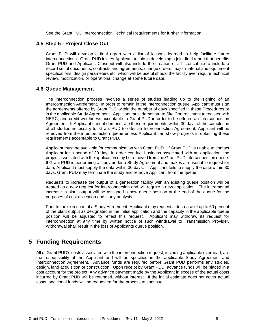See the Grant PUD Interconnection Technical Requirements for further information.

#### **4.5 Step 5 - Project Close-Out**

Grant PUD will develop a final report with a list of lessons learned to help facilitate future interconnections. Grant PUD invites Applicant to join in developing a joint final report that benefits Grant PUD and Applicant. Closeout will also include the creation of a historical file to include a record set of documents, contracts and agreements, change orders, major material and equipment specifications, design parameters etc, which will be useful should the facility ever require technical review, modification, or operational change at some future date.

#### **4.6 Queue Management**

The interconnection process involves a series of studies leading up to the signing of an Interconnection Agreement. In order to remain in the interconnection queue, Applicant must sign the agreements offered by Grant PUD within the number of days specified in these Procedures or in the applicable Study Agreement. Applicant must demonstrate Site Control, intent to register with NERC, and credit worthiness acceptable to Grant PUD in order to be offered an Interconnection Agreement. If Applicant cannot demonstrate these requirements within 30 days of the completion of all studies necessary for Grant PUD to offer an Interconnection Agreement, Applicant will be removed from the interconnection queue unless Applicant can show progress in obtaining these requirements acceptable to Grant PUD.

Applicant must be available for communication with Grant PUD. If Grant PUD is unable to contact Applicant for a period of 30 days in order conduct business associated with an application, the project associated with the application may be removed from the Grant PUD interconnection queue. If Grant PUD is performing a study under a Study Agreement and makes a reasonable request for data, Applicant must supply the data within 30 days. If Applicant fails to supply the data within 30 days, Grant PUD may terminate the study and remove Applicant from the queue.

Requests to increase the output of a generation facility with an existing queue position will be treated as a new request for interconnection and will require a new application. The incremental increase in plant output will be assigned a new queue position at the end of the queue for the purposes of cost allocation and study analysis.

Prior to the execution of a Study Agreement, Applicant may request a decrease of up to 60 percent of the plant output as designated in the initial application and the capacity in the applicable queue position will be adjusted to reflect this request. Applicant may withdraw its request for interconnection at any time by written notice of such withdrawal to Transmission Provider. Withdrawal shall result in the loss of Applicants queue position.

## <span id="page-10-0"></span>**5 Funding Requirements**

All of Grant PUD's costs associated with the interconnection request, including applicable overhead, are the responsibility of the Applicant and will be specified in the applicable Study Agreement and Interconnection Agreement. Advance funds are required before Grant PUD performs any studies, design, land acquisition or construction. Upon receipt by Grant PUD, advance funds will be placed in a cost account for the project. Any advance payment made by the Applicant in excess of the actual costs incurred by Grant PUD will be refunded, without interest. If the initial estimate does not cover actual costs, additional funds will be requested for the process to continue.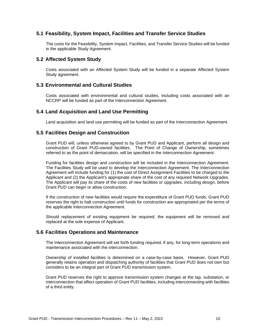#### **5.1 Feasibility, System Impact, Facilities and Transfer Service Studies**

The costs for the Feasibility, System Impact, Facilities, and Transfer Service Studies will be funded in the applicable Study Agreement.

#### **5.2 Affected System Study**

Costs associated with an Affected System Study will be funded in a separate Affected System Study agreement.

#### **5.3 Environmental and Cultural Studies**

Costs associated with environmental and cultural studies, including costs associated with an NCCRP will be funded as part of the Interconnection Agreement.

#### **5.4 Land Acquisition and Land Use Permitting**

Land acquisition and land use permitting will be funded as part of the Interconnection Agreement.

#### **5.5 Facilities Design and Construction**

Grant PUD will, unless otherwise agreed to by Grant PUD and Applicant, perform all design and construction of Grant PUD-owned facilities. The Point of Change of Ownership, sometimes referred to as the point of demarcation, will be specified in the Interconnection Agreement.

Funding for facilities design and construction will be included in the Interconnection Agreement. The Facilities Study will be used to develop the Interconnection Agreement. The Interconnection Agreement will include funding for (1) the cost of Direct Assignment Facilities to be charged to the Applicant and (2) the Applicant's appropriate share of the cost of any required Network Upgrades. The Applicant will pay its share of the costs of new facilities or upgrades, including design, before Grant PUD can begin or allow construction.

If the construction of new facilities would require the expenditure of Grant PUD funds, Grant PUD reserves the right to halt construction until funds for construction are appropriated per the terms of the applicable Interconnection Agreement.

Should replacement of existing equipment be required, the equipment will be removed and replaced at the sole expense of Applicant.

#### **5.6 Facilities Operations and Maintenance**

The Interconnection Agreement will set forth funding required, if any, for long-term operations and maintenance associated with the interconnection.

Ownership of installed facilities is determined on a case-by-case basis. However, Grant PUD generally retains operation and dispatching authority of facilities that Grant PUD does not own but considers to be an integral part of Grant PUD transmission system.

Grant PUD reserves the right to approve transmission system changes at the tap, substation, or interconnection that affect operation of Grant PUD facilities, including interconnecting with facilities of a third entity.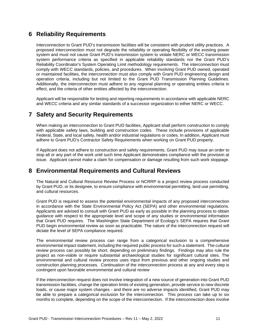## <span id="page-12-0"></span>**6 Reliability Requirements**

Interconnection to Grant PUD's transmission facilities will be consistent with prudent utility practices. A proposed interconnection must not degrade the reliability or operating flexibility of the existing power system and must not cause Grant PUD's transmission system to violate NERC or WECC transmission system performance criteria as specified in applicable reliability standards nor the Grant PUD's Reliability Coordinator's System Operating Limit methodology requirements. The interconnection must comply with WECC standards, policies, and procedures. When involving Grant PUD owned, operated or maintained facilities, the interconnection must also comply with Grant PUD engineering design and operation criteria, including but not limited to the Grant PUD Transmission Planning Guidelines. Additionally, the interconnection must adhere to any regional planning or operating entities criteria in effect, and the criteria of other entities affected by the interconnection.

Applicant will be responsible for testing and reporting requirements in accordance with applicable NERC and WECC criteria and any similar standards of a successor organization to either NERC or WECC.

## <span id="page-12-1"></span>**7 Safety and Security Requirements**

When making an interconnection to Grant PUD facilities, Applicant shall perform construction to comply with applicable safety laws, building and construction codes. These include provisions of applicable Federal, State, and local safety, health and/or industrial regulations or codes. In addition, Applicant must adhere to Grant PUD's Contractor Safety Requirements when working on Grant PUD property.

If Applicant does not adhere to construction and safety requirements, Grant PUD may issue an order to stop all or any part of the work until such time Applicant demonstrates compliance with the provision at issue. Applicant cannot make a claim for compensation or damage resulting from such work stoppage.

## <span id="page-12-2"></span>**8 Environmental Requirements and Cultural Reviews**

The Natural and Cultural Resource Review Process or NCRRP is a project review process conducted by Grant PUD, or its designee, to ensure compliance with environmental permitting, land use permitting, and cultural resources.

Grant PUD is required to assess the potential environmental impacts of any proposed interconnection in accordance with the State Environmental Policy Act (SEPA) and other environmental regulations. Applicants are advised to consult with Grant PUD as early as possible in the planning process to obtain guidance with respect to the appropriate level and scope of any studies or environmental information that Grant PUD requires. The Washington State Department of Ecology's SEPA requires that Grant PUD begin environmental review as soon as practicable. The nature of the interconnection request will dictate the level of SEPA compliance required.

The environmental review process can range from a categorical exclusion to a comprehensive environmental impact statement, including the required public process for such a statement. The cultural review process can possibly be short, depending on preliminary findings. Findings may also rule the project as non-viable or require substantial archaeological studies for significant cultural sites. The environmental and cultural review process uses input from previous and other ongoing studies and construction planning processes. Continuation of the interconnection process at any and every step is contingent upon favorable environmental and cultural review

If the interconnection request does not involve integration of a new source of generation into Grant PUD transmission facilities, change the operation limits of existing generation, provide service to new discrete loads, or cause major system changes - and there are no adverse impacts identified, Grant PUD may be able to prepare a categorical exclusion for the interconnection. This process can take up to six months to complete, depending on the scope of the interconnection. If the interconnection does involve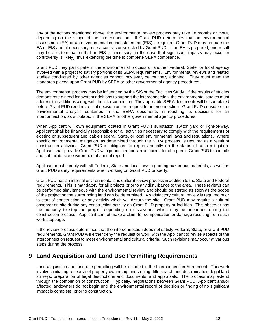any of the actions mentioned above, the environmental review process may take 18 months or more, depending on the scope of the interconnection. If Grant PUD determines that an environmental assessment (EA) or an environmental impact statement (EIS) is required, Grant PUD may prepare the EA or EIS and, if necessary, use a contractor selected by Grant PUD. If an EA is prepared, one result may be a determination that an EIS is necessary (in the case that significant impacts may occur or controversy is likely), thus extending the time to complete SEPA compliance.

Grant PUD may participate in the environmental process of another Federal, State, or local agency involved with a project to satisfy portions of its SEPA requirements. Environmental reviews and related studies conducted by other agencies cannot, however, be routinely adopted. They must meet the standards placed upon Grant PUD by SEPA or other governmental agency procedures.

The environmental process may be influenced by the SIS or the Facilities Study. If the results of studies demonstrate a need for system additions to support the interconnection, the environmental studies must address the additions along with the interconnection. The applicable SEPA documents will be completed before Grant PUD renders a final decision on the request for interconnection. Grant PUD considers the environmental analysis contained in the SEPA documents in reaching its decisions for an interconnection, as stipulated in the SEPA or other governmental agency procedures.

When Applicant will own equipment located in Grant PUD's substation, switch yard or right-of-way, Applicant shall be financially responsible for all activities necessary to comply with the requirements of existing or subsequent applicable Federal, State, or local environmental laws and regulations. Where specific environmental mitigation, as determined through the SEPA process, is required as a result of construction activities, Grant PUD is obligated to report annually on the status of such mitigation. Applicant shall provide Grant PUD with periodic reports in sufficient detail to permit Grant PUD to compile and submit its site environmental annual report.

Applicant must comply with all Federal, State and local laws regarding hazardous materials, as well as Grant PUD safety requirements when working on Grant PUD property.

Grant PUD has an internal environmental and cultural review process in addition to the State and Federal requirements. This is mandatory for all projects prior to any disturbance to the area. These reviews can be performed simultaneous with the environmental review and should be started as soon as the scope of the project on the surrounding land can be determined. A satisfactory cultural review is required prior to start of construction, or any activity which will disturb the site. Grant PUD may require a cultural observer on site during any construction activity on Grant PUD property or facilities. This observer has the authority to stop the project, depending on discoveries which may be unearthed during the construction process. Applicant cannot make a claim for compensation or damage resulting from such work stoppage.

If the review process determines that the interconnection does not satisfy Federal, State, or Grant PUD requirements, Grant PUD will either deny the request or work with the Applicant to revise aspects of the interconnection request to meet environmental and cultural criteria. Such revisions may occur at various steps during the process.

## <span id="page-13-0"></span>**9 Land Acquisition and Land Use Permitting Requirements**

Land acquisition and land use permitting will be included in the Interconnection Agreement. This work involves initiating research of property ownership and zoning, title search and determination, legal land surveys, preparation of legal descriptions and documents, and appraisals. The process may extend through the completion of construction. Typically, negotiations between Grant PUD, Applicant and/or affected landowners do not begin until the environmental record of decision or finding of no significant impact is complete, prior to construction.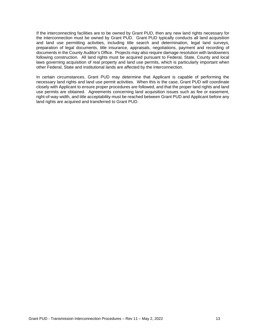If the interconnecting facilities are to be owned by Grant PUD, then any new land rights necessary for the interconnection must be owned by Grant PUD. Grant PUD typically conducts all land acquisition and land use permitting activities, including title search and determination, legal land surveys, preparation of legal documents, title insurance, appraisals, negotiations, payment and recording of documents in the County Auditor's Office. Projects may also require damage resolution with landowners following construction. All land rights must be acquired pursuant to Federal, State, County and local laws governing acquisition of real property and land use permits, which is particularly important when other Federal, State and institutional lands are affected by the interconnection.

In certain circumstances, Grant PUD may determine that Applicant is capable of performing the necessary land rights and land use permit activities. When this is the case, Grant PUD will coordinate closely with Applicant to ensure proper procedures are followed, and that the proper land rights and land use permits are obtained. Agreements concerning land acquisition issues such as fee or easement, right-of-way width, and title acceptability must be reached between Grant PUD and Applicant before any land rights are acquired and transferred to Grant PUD.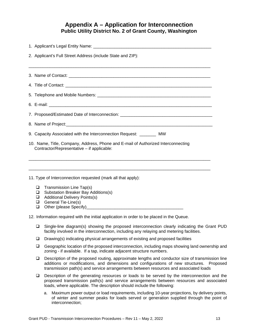## **Appendix A – Application for Interconnection Public Utility District No. 2 of Grant County, Washington**

<span id="page-15-0"></span>

|        | 2. Applicant's Full Street Address (include State and ZIP):                                                                                                                                                                                                                              |
|--------|------------------------------------------------------------------------------------------------------------------------------------------------------------------------------------------------------------------------------------------------------------------------------------------|
|        |                                                                                                                                                                                                                                                                                          |
|        |                                                                                                                                                                                                                                                                                          |
|        |                                                                                                                                                                                                                                                                                          |
|        |                                                                                                                                                                                                                                                                                          |
|        |                                                                                                                                                                                                                                                                                          |
|        | 7. Proposed/Estimated Date of Interconnection: _________________________________                                                                                                                                                                                                         |
|        |                                                                                                                                                                                                                                                                                          |
|        | 9. Capacity Associated with the Interconnection Request: ________ MW                                                                                                                                                                                                                     |
|        | 10. Name, Title, Company, Address, Phone and E-mail of Authorized Interconnecting                                                                                                                                                                                                        |
|        | Contractor/Representative - if applicable:                                                                                                                                                                                                                                               |
|        |                                                                                                                                                                                                                                                                                          |
|        |                                                                                                                                                                                                                                                                                          |
|        | 11. Type of Interconnection requested (mark all that apply):                                                                                                                                                                                                                             |
| ⊔      | Transmission Line Tap(s)                                                                                                                                                                                                                                                                 |
| ⊔<br>❏ | Substation Breaker Bay Additions(s)<br><b>Additional Delivery Points(s)</b>                                                                                                                                                                                                              |
| ❏      | General Tie-Line(s)                                                                                                                                                                                                                                                                      |
| ❏      |                                                                                                                                                                                                                                                                                          |
|        | 12. Information required with the initial application in order to be placed in the Queue.                                                                                                                                                                                                |
| ❏      | Single-line diagram(s) showing the proposed interconnection clearly indicating the Grant PUD<br>facility involved in the interconnection, including any relaying and metering facilities.                                                                                                |
| $\Box$ | Drawing(s) indicating physical arrangements of existing and proposed facilities                                                                                                                                                                                                          |
| $\Box$ | Geographic location of the proposed interconnection, including maps showing land ownership and<br>zoning - if available. If a tap, indicate adjacent structure numbers.                                                                                                                  |
| $\Box$ | Description of the proposed routing, approximate lengths and conductor size of transmission line<br>additions or modifications, and dimensions and configurations of new structures.<br>Proposed<br>transmission path(s) and service arrangements between resources and associated loads |
| ❏      | Description of the generating resources or loads to be served by the interconnection and the<br>proposed transmission path(s) and service arrangements between resources and associated<br>loads, where applicable. The description should include the following:                        |

a. Maximum power output or load requirements, including 10-year projections, by delivery points, of winter and summer peaks for loads served or generation supplied through the point of interconnection;